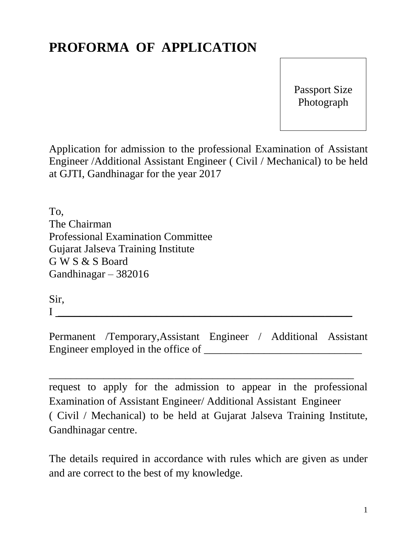## **PROFORMA OF APPLICATION**

Passport Size Photograph

Application for admission to the professional Examination of Assistant Engineer /Additional Assistant Engineer ( Civil / Mechanical) to be held at GJTI, Gandhinagar for the year 2017

To, The Chairman Professional Examination Committee Gujarat Jalseva Training Institute G W S & S Board Gandhinagar – 382016

Sir,

 $\blacksquare$ 

Permanent /Temporary,Assistant Engineer / Additional Assistant Engineer employed in the office of

\_\_\_\_\_\_\_\_\_\_\_\_\_\_\_\_\_\_\_\_\_\_\_\_\_\_\_\_\_\_\_\_\_\_\_\_\_\_\_\_\_\_\_\_\_\_\_\_\_\_\_\_\_\_\_\_

request to apply for the admission to appear in the professional Examination of Assistant Engineer/ Additional Assistant Engineer ( Civil / Mechanical) to be held at Gujarat Jalseva Training Institute, Gandhinagar centre.

The details required in accordance with rules which are given as under and are correct to the best of my knowledge.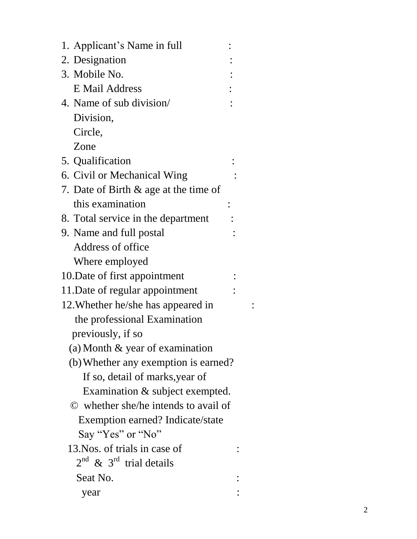| 1. Applicant's Name in full           |  |
|---------------------------------------|--|
| 2. Designation                        |  |
| 3. Mobile No.                         |  |
| <b>E</b> Mail Address                 |  |
| 4. Name of sub division/              |  |
| Division,                             |  |
| Circle,                               |  |
| Zone                                  |  |
| 5. Qualification                      |  |
| 6. Civil or Mechanical Wing           |  |
| 7. Date of Birth & age at the time of |  |
| this examination                      |  |
| 8. Total service in the department    |  |
| 9. Name and full postal               |  |
| Address of office                     |  |
| Where employed                        |  |
| 10. Date of first appointment         |  |
| 11. Date of regular appointment       |  |
| 12. Whether he/she has appeared in    |  |
| the professional Examination          |  |
| previously, if so                     |  |
| (a) Month & year of examination       |  |
| (b) Whether any exemption is earned?  |  |
| If so, detail of marks, year of       |  |
| Examination & subject exempted.       |  |
| © whether she/he intends to avail of  |  |
| Exemption earned? Indicate/state      |  |
| Say "Yes" or "No"                     |  |
| 13. Nos. of trials in case of         |  |
| $2^{nd}$ & $3^{rd}$ trial details     |  |
| Seat No.                              |  |
| year                                  |  |

: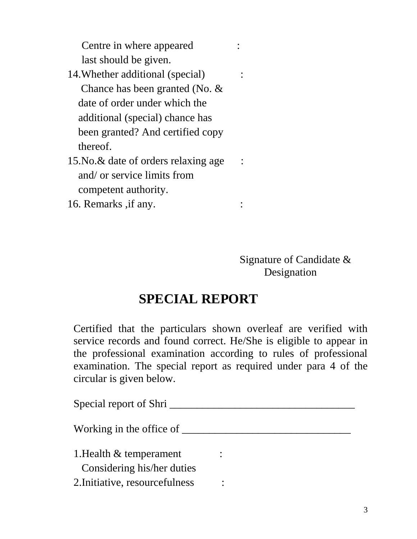Centre in where appeared : last should be given.

- 14.Whether additional (special) : Chance has been granted (No. & date of order under which the additional (special) chance has been granted? And certified copy thereof.
- 15. No. & date of orders relaxing age : and/ or service limits from competent authority.
- 16. Remarks , if any.  $\cdot$

 Signature of Candidate & Designation

## **SPECIAL REPORT**

Certified that the particulars shown overleaf are verified with service records and found correct. He/She is eligible to appear in the professional examination according to rules of professional examination. The special report as required under para 4 of the circular is given below.

| Special report of Shri                                   |  |  |
|----------------------------------------------------------|--|--|
| Working in the office of                                 |  |  |
| 1. Health $\&$ temperament<br>Considering his/her duties |  |  |
| 2. Initiative, resourcefulness                           |  |  |